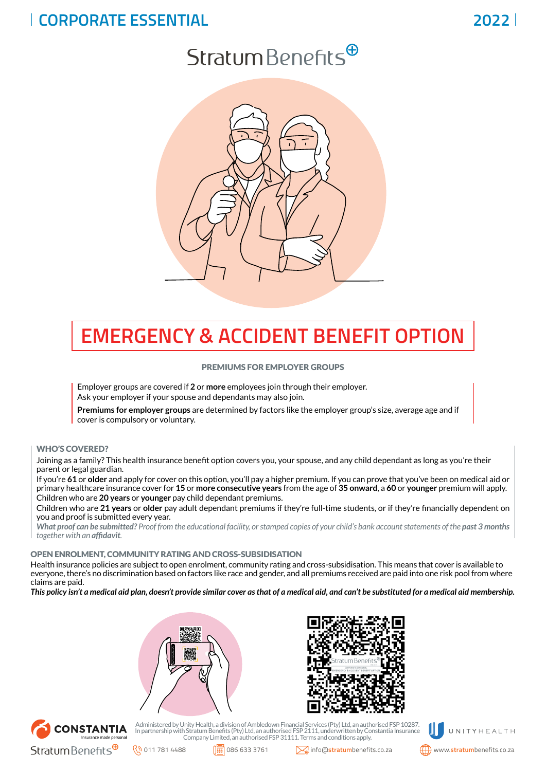## **CORPORATE ESSENTIAL**

# $Stratum Benefits^{\oplus}$



# **EMERGENCY & ACCIDENT BENEFIT OPTION**

### PREMIUMS FOR EMPLOYER GROUPS

Employer groups are covered if **2** or **more** employees join through their employer. Ask your employer if your spouse and dependants may also join.

**Premiums for employer groups** are determined by factors like the employer group's size, average age and if cover is compulsory or voluntary.

### WHO'S COVERED?

Joining as a family? This health insurance benefit option covers you, your spouse, and any child dependant as long as you're their parent or legal guardian.

If you're **61** or **older** and apply for cover on this option, you'll pay a higher premium. If you can prove that you've been on medical aid or primary healthcare insurance cover for **15** or **more consecutive years** from the age of **35 onward**, a **60** or **younger** premium will apply. Children who are **20 years** or **younger** pay child dependant premiums.

Children who are **21 years** or **older** pay adult dependant premiums if they're full-time students, or if they're financially dependent on you and proof is submitted every year.

*What proof can be submitted? Proof from the educational facility, or stamped copies of your child's bank account statements of the past 3 months together with an affidavit.*

### OPEN ENROLMENT, COMMUNITY RATING AND CROSS-SUBSIDISATION

Health insurance policies are subject to open enrolment, community rating and cross-subsidisation. This means that cover is available to everyone, there's no discrimination based on factors like race and gender, and all premiums received are paid into one risk pool from where claims are paid.

*This policy isn't a medical aid plan, doesn't provide similar cover as that of a medical aid, and can't be substituted for a medical aid membership.*







Administered by Unity Health, a division of Ambledown Financial Services (Pty) Ltd, an authorised FSP 10287.<br>In partnership with Stratum Benefits (Pty) Ltd, an authorised FSP 2111, underwritten by Constantia Insurance<br>Comp



**2022**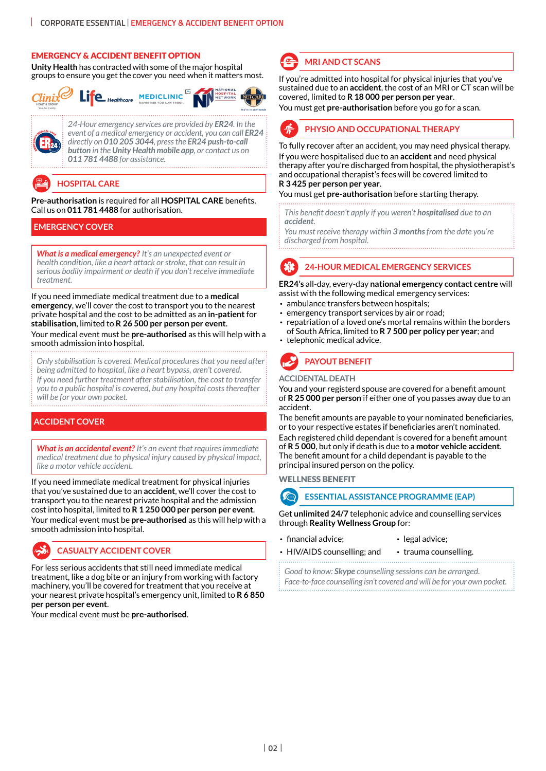### EMERGENCY & ACCIDENT BENEFIT OPTION

**Unity Health** has contracted with some of the major hospital groups to ensure you get the cover you need when it matters most.



*24-Hour emergency services are provided by ER24. In the event of a medical emergency or accident, you can call ER24 directly on 010 205 3044, press the ER24 push-to-call button in the Unity Health mobile app, or contact us on 011 781 4488 for assistance.*

## **HOSPITAL CARE**

**Pre-authorisation** is required for all **HOSPITAL CARE** benefits. Call us on **011 781 4488** for authorisation.

### **EMERGENCY COVER**

*What is a medical emergency? It's an unexpected event or health condition, like a heart attack or stroke, that can result in serious bodily impairment or death if you don't receive immediate treatment.* 

If you need immediate medical treatment due to a **medical emergency**, we'll cover the cost to transport you to the nearest private hospital and the cost to be admitted as an **in-patient** for **stabilisation**, limited to **R 26 500 per person per event**. Your medical event must be **pre-authorised** as this will help with a smooth admission into hospital.

*Only stabilisation is covered. Medical procedures that you need after being admitted to hospital, like a heart bypass, aren't covered. If you need further treatment after stabilisation, the cost to transfer you to a public hospital is covered, but any hospital costs thereafter will be for your own pocket.* 

### **ACCIDENT COVER**

*What is an accidental event? It's an event that requires immediate medical treatment due to physical injury caused by physical impact, like a motor vehicle accident.*

If you need immediate medical treatment for physical injuries that you've sustained due to an **accident**, we'll cover the cost to transport you to the nearest private hospital and the admission cost into hospital, limited to **R 1 250 000 per person per event**. Your medical event must be **pre-authorised** as this will help with a smooth admission into hospital.

### **CASUALTY ACCIDENT COVER**

For less serious accidents that still need immediate medical treatment, like a dog bite or an injury from working with factory machinery, you'll be covered for treatment that you receive at your nearest private hospital's emergency unit, limited to **R 6 850 per person per event**.

Your medical event must be **pre-authorised**.



### **MRI AND CT SCANS**

If you're admitted into hospital for physical injuries that you've sustained due to an **accident**, the cost of an MRI or CT scan will be covered, limited to **R 18 000 per person per year**.

You must get **pre-authorisation** before you go for a scan.



To fully recover after an accident, you may need physical therapy. If you were hospitalised due to an **accident** and need physical therapy after you're discharged from hospital, the physiotherapist's and occupational therapist's fees will be covered limited to **R 3 425 per person per year**.

You must get **pre-authorisation** before starting therapy.

*This benefit doesn't apply if you weren't hospitalised due to an accident.* 

*You must receive therapy within 3 months from the date you're discharged from hospital.*

### **24-HOUR MEDICAL EMERGENCY SERVICES**

**ER24's** all-day, every-day **national emergency contact centre** will assist with the following medical emergency services:

- ambulance transfers between hospitals;
- emergency transport services by air or road;
- repatriation of a loved one's mortal remains within the borders of South Africa, limited to **R 7 500 per policy per year**; and
- telephonic medical advice.



### **ACCIDENTAL DEATH**

You and your registerd spouse are covered for a benefit amount of **R 25 000 per person** if either one of you passes away due to an accident.

The benefit amounts are payable to your nominated beneficiaries, or to your respective estates if beneficiaries aren't nominated.

Each registered child dependant is covered for a benefit amount of **R 5 000**, but only if death is due to a **motor vehicle accident**. The benefit amount for a child dependant is payable to the principal insured person on the policy.

WELLNESS BENEFIT



**ESSENTIAL ASSISTANCE PROGRAMME (EAP)**

Get **unlimited 24/7** telephonic advice and counselling services through **Reality Wellness Group** for:

- financial advice; legal advice;
	-
- HIV/AIDS counselling; and trauma counselling.

*Good to know: Skype counselling sessions can be arranged. Face-to-face counselling isn't covered and will be for your own pocket.*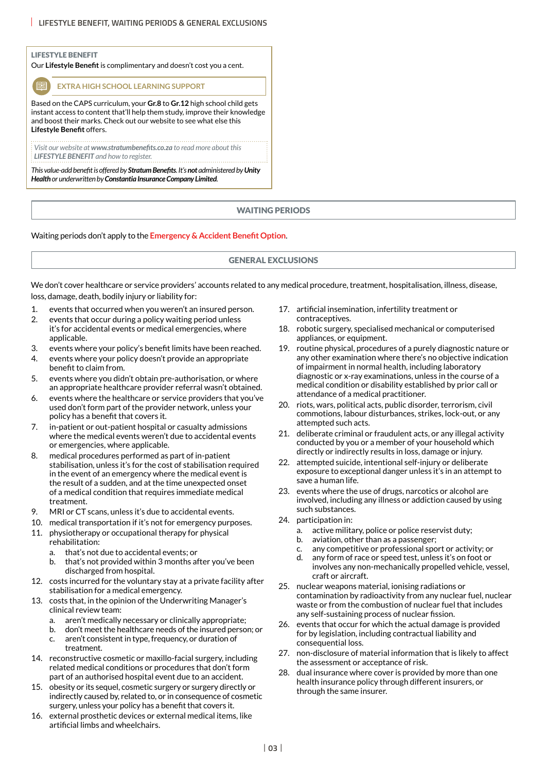### LIFESTYLE BENEFIT

Our **Lifestyle Benefit** is complimentary and doesn't cost you a cent.

**EXTRA HIGH SCHOOL LEARNING SUPPORT** 

Based on the CAPS curriculum, your **Gr.8** to **Gr.12** high school child gets instant access to content that'll help them study, improve their knowledge and boost their marks. Check out our website to see what else this **Lifestyle Benefit** offers.

*Visit our website at www.stratumbenefits.co.za to read more about this LIFESTYLE BENEFIT and how to register.*

*This value-add benefit is offered by Stratum Benefits. It's not administered by Unity Health or underwritten by Constantia Insurance Company Limited.*

### WAITING PERIODS

### Waiting periods don't apply to the **Emergency & Accident Benefit Option**.

### GENERAL EXCLUSIONS

We don't cover healthcare or service providers' accounts related to any medical procedure, treatment, hospitalisation, illness, disease, loss, damage, death, bodily injury or liability for:

- 1. events that occurred when you weren't an insured person.
- 2. events that occur during a policy waiting period unless it's for accidental events or medical emergencies, where applicable.
- 3. events where your policy's benefit limits have been reached.
- 4. events where your policy doesn't provide an appropriate benefit to claim from.
- 5. events where you didn't obtain pre-authorisation, or where an appropriate healthcare provider referral wasn't obtained.
- 6. events where the healthcare or service providers that you've used don't form part of the provider network, unless your policy has a benefit that covers it.
- 7. in-patient or out-patient hospital or casualty admissions where the medical events weren't due to accidental events or emergencies, where applicable.
- 8. medical procedures performed as part of in-patient stabilisation, unless it's for the cost of stabilisation required in the event of an emergency where the medical event is the result of a sudden, and at the time unexpected onset of a medical condition that requires immediate medical treatment.
- 9. MRI or CT scans, unless it's due to accidental events.
- 10. medical transportation if it's not for emergency purposes.
- 11. physiotherapy or occupational therapy for physical rehabilitation:
	- a. that's not due to accidental events; or
	- b. that's not provided within 3 months after you've been discharged from hospital.
- 12. costs incurred for the voluntary stay at a private facility after stabilisation for a medical emergency.
- 13. costs that, in the opinion of the Underwriting Manager's clinical review team:
	- a. aren't medically necessary or clinically appropriate;
	- b. don't meet the healthcare needs of the insured person; or c. aren't consistent in type, frequency, or duration of
	- treatment.
- 14. reconstructive cosmetic or maxillo-facial surgery, including related medical conditions or procedures that don't form part of an authorised hospital event due to an accident.
- 15. obesity or its sequel, cosmetic surgery or surgery directly or indirectly caused by, related to, or in consequence of cosmetic surgery, unless your policy has a benefit that covers it.
- 16. external prosthetic devices or external medical items, like artificial limbs and wheelchairs.
- 17. artificial insemination, infertility treatment or contraceptives.
- 18. robotic surgery, specialised mechanical or computerised appliances, or equipment.
- 19. routine physical, procedures of a purely diagnostic nature or any other examination where there's no objective indication of impairment in normal health, including laboratory diagnostic or x-ray examinations, unless in the course of a medical condition or disability established by prior call or attendance of a medical practitioner.
- 20. riots, wars, political acts, public disorder, terrorism, civil commotions, labour disturbances, strikes, lock-out, or any attempted such acts.
- 21. deliberate criminal or fraudulent acts, or any illegal activity conducted by you or a member of your household which directly or indirectly results in loss, damage or injury.
- 22. attempted suicide, intentional self-injury or deliberate exposure to exceptional danger unless it's in an attempt to save a human life.
- 23. events where the use of drugs, narcotics or alcohol are involved, including any illness or addiction caused by using such substances.
- 24 narticination in:
	- a. active military, police or police reservist duty;
	- b. aviation, other than as a passenger;
	- c. any competitive or professional sport or activity; or
	- d. any form of race or speed test, unless it's on foot or involves any non-mechanically propelled vehicle, vessel, craft or aircraft.
- 25. nuclear weapons material, ionising radiations or contamination by radioactivity from any nuclear fuel, nuclear waste or from the combustion of nuclear fuel that includes any self-sustaining process of nuclear fission.
- 26. events that occur for which the actual damage is provided for by legislation, including contractual liability and consequential loss.
- 27. non-disclosure of material information that is likely to affect the assessment or acceptance of risk.
- 28. dual insurance where cover is provided by more than one health insurance policy through different insurers, or through the same insurer.